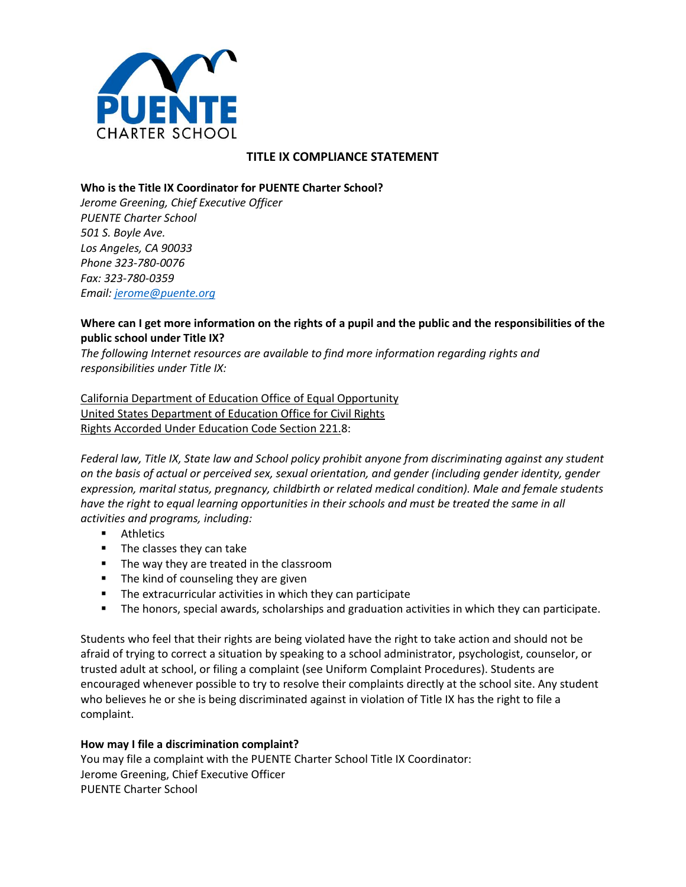

# **TITLE IX COMPLIANCE STATEMENT**

#### **Who is the Title IX Coordinator for PUENTE Charter School?**

*Jerome Greening, Chief Executive Officer PUENTE Charter School 501 S. Boyle Ave. Los Angeles, CA 90033 Phone 323-780-0076 Fax: 323-780-0359 Email: [jerome@puente.org](mailto:jerome@puente.org)*

### **Where can I get more information on the rights of a pupil and the public and the responsibilities of the public school under Title IX?**

*The following Internet resources are available to find more information regarding rights and responsibilities under Title IX:*

California Department of Education Office of Equal Opportunity United States Department of Education Office for Civil Rights Rights Accorded Under Education Code Section 221.8:

*Federal law, Title IX, State law and School policy prohibit anyone from discriminating against any student on the basis of actual or perceived sex, sexual orientation, and gender (including gender identity, gender expression, marital status, pregnancy, childbirth or related medical condition). Male and female students have the right to equal learning opportunities in their schools and must be treated the same in all activities and programs, including:*

- **Athletics**
- **The classes they can take**
- The way they are treated in the classroom
- **The kind of counseling they are given**
- The extracurricular activities in which they can participate
- **The honors, special awards, scholarships and graduation activities in which they can participate.**

Students who feel that their rights are being violated have the right to take action and should not be afraid of trying to correct a situation by speaking to a school administrator, psychologist, counselor, or trusted adult at school, or filing a complaint (see Uniform Complaint Procedures). Students are encouraged whenever possible to try to resolve their complaints directly at the school site. Any student who believes he or she is being discriminated against in violation of Title IX has the right to file a complaint.

### **How may I file a discrimination complaint?**

You may file a complaint with the PUENTE Charter School Title IX Coordinator: Jerome Greening, Chief Executive Officer PUENTE Charter School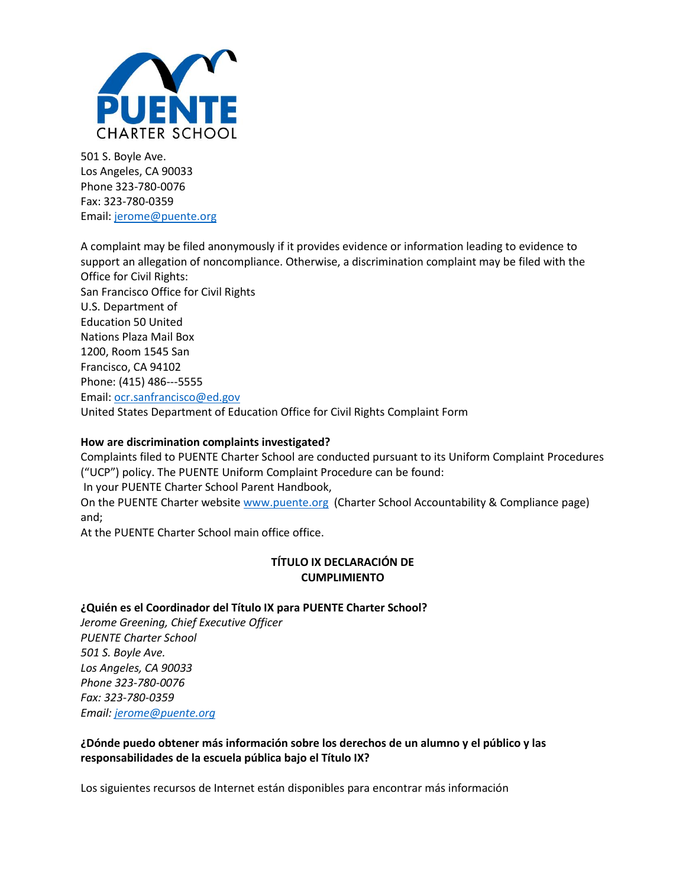

501 S. Boyle Ave. Los Angeles, CA 90033 Phone 323-780-0076 Fax: 323-780-0359 Email: [jerome@puente.org](mailto:jerome@puente.org)

A complaint may be filed anonymously if it provides evidence or information leading to evidence to support an allegation of noncompliance. Otherwise, a discrimination complaint may be filed with the Office for Civil Rights: San Francisco Office for Civil Rights U.S. Department of Education 50 United Nations Plaza Mail Box 1200, Room 1545 San Francisco, CA 94102 Phone: (415) 486--‐5555 Email: [ocr.sanfrancisco@ed.gov](mailto:ocr.sanfrancisco@ed.gov) United States Department of Education Office for Civil Rights Complaint Form

### **How are discrimination complaints investigated?**

Complaints filed to PUENTE Charter School are conducted pursuant to its Uniform Complaint Procedures ("UCP") policy. The PUENTE Uniform Complaint Procedure can be found:

In your PUENTE Charter School Parent Handbook,

On the PUENTE Charter website [www.puente.org](http://www.puente.org/) (Charter School Accountability & Compliance page) and;

At the PUENTE Charter School main office office.

## **TÍTULO IX DECLARACIÓN DE CUMPLIMIENTO**

## **¿Quién es el Coordinador del Título IX para PUENTE Charter School?**

*Jerome Greening, Chief Executive Officer PUENTE Charter School 501 S. Boyle Ave. Los Angeles, CA 90033 Phone 323-780-0076 Fax: 323-780-0359 Email: [jerome@puente.org](mailto:jerome@puente.org)*

**¿Dónde puedo obtener más información sobre los derechos de un alumno y el público y las responsabilidades de la escuela pública bajo el Título IX?**

Los siguientes recursos de Internet están disponibles para encontrar más información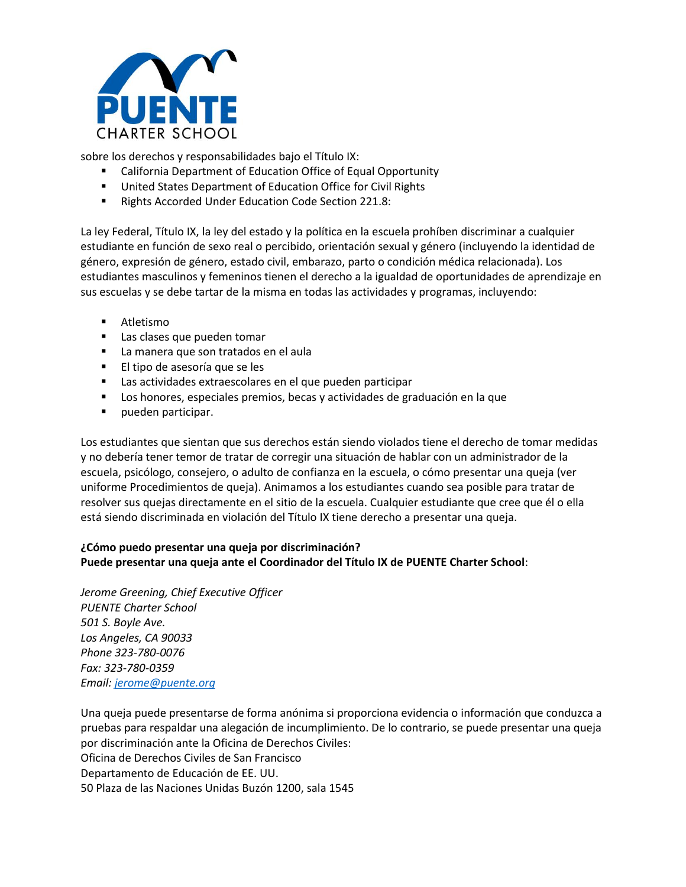

sobre los derechos y responsabilidades bajo el Título IX:

- California Department of Education Office of Equal Opportunity
- **United States Department of Education Office for Civil Rights**
- Rights Accorded Under Education Code Section 221.8:

La ley Federal, Título IX, la ley del estado y la política en la escuela prohíben discriminar a cualquier estudiante en función de sexo real o percibido, orientación sexual y género (incluyendo la identidad de género, expresión de género, estado civil, embarazo, parto o condición médica relacionada). Los estudiantes masculinos y femeninos tienen el derecho a la igualdad de oportunidades de aprendizaje en sus escuelas y se debe tartar de la misma en todas las actividades y programas, incluyendo:

- **Atletismo**
- **Las clases que pueden tomar**
- La manera que son tratados en el aula
- **El tipo de asesoría que se les**
- Las actividades extraescolares en el que pueden participar
- Los honores, especiales premios, becas y actividades de graduación en la que
- **pueden participar.**

Los estudiantes que sientan que sus derechos están siendo violados tiene el derecho de tomar medidas y no debería tener temor de tratar de corregir una situación de hablar con un administrador de la escuela, psicólogo, consejero, o adulto de confianza en la escuela, o cómo presentar una queja (ver uniforme Procedimientos de queja). Animamos a los estudiantes cuando sea posible para tratar de resolver sus quejas directamente en el sitio de la escuela. Cualquier estudiante que cree que él o ella está siendo discriminada en violación del Título IX tiene derecho a presentar una queja.

## **¿Cómo puedo presentar una queja por discriminación? Puede presentar una queja ante el Coordinador del Título IX de PUENTE Charter School**:

*Jerome Greening, Chief Executive Officer PUENTE Charter School 501 S. Boyle Ave. Los Angeles, CA 90033 Phone 323-780-0076 Fax: 323-780-0359 Email: [jerome@puente.org](mailto:jerome@puente.org)*

Una queja puede presentarse de forma anónima si proporciona evidencia o información que conduzca a pruebas para respaldar una alegación de incumplimiento. De lo contrario, se puede presentar una queja por discriminación ante la Oficina de Derechos Civiles: Oficina de Derechos Civiles de San Francisco Departamento de Educación de EE. UU. 50 Plaza de las Naciones Unidas Buzón 1200, sala 1545